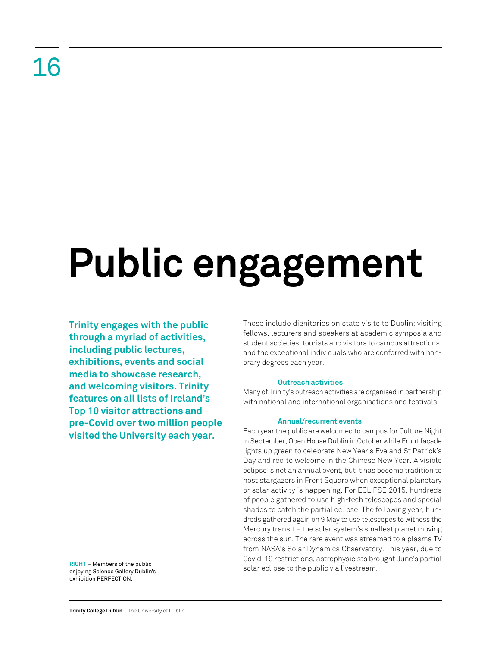## 16

# **Public engagement**

**Trinity engages with the public through a myriad of activities, including public lectures, exhibitions, events and social media to showcase research, and welcoming visitors. Trinity features on all lists of Ireland's Top 10 visitor attractions and pre-Covid over two million people visited the University each year.** 

**RIGHT** – Members of the public enjoying Science Gallery Dublin's exhibition PERFECTION.

These include dignitaries on state visits to Dublin; visiting fellows, lecturers and speakers at academic symposia and student societies; tourists and visitors to campus attractions; and the exceptional individuals who are conferred with honorary degrees each year.

### **Outreach activities**

Many of Trinity's outreach activities are organised in partnership with national and international organisations and festivals.

### **Annual/recurrent events**

Each year the public are welcomed to campus for Culture Night in September, Open House Dublin in October while Front façade lights up green to celebrate New Year's Eve and St Patrick's Day and red to welcome in the Chinese New Year. A visible eclipse is not an annual event, but it has become tradition to host stargazers in Front Square when exceptional planetary or solar activity is happening. For ECLIPSE 2015, hundreds of people gathered to use high-tech telescopes and special shades to catch the partial eclipse. The following year, hundreds gathered again on 9 May to use telescopes to witness the Mercury transit – the solar system's smallest planet moving across the sun. The rare event was streamed to a plasma TV from NASA's Solar Dynamics Observatory. This year, due to Covid-19 restrictions, astrophysicists brought June's partial solar eclipse to the public via livestream.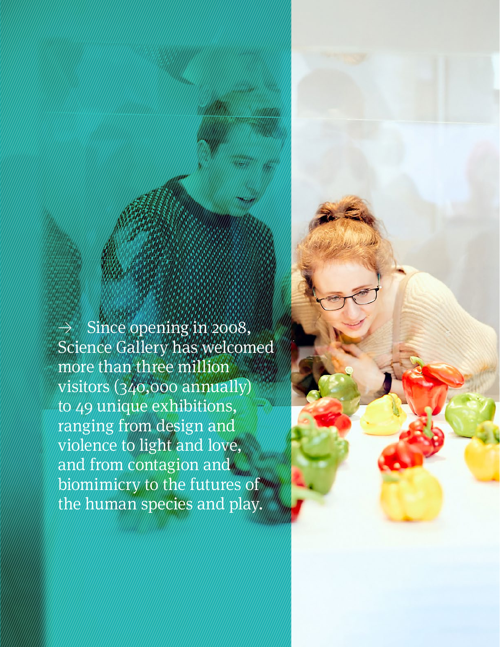Since opening in 2008, Science Gallery has welcomed more than three million visitors (340,000 annually) to 49 unique exhibitions, ranging from design and violence to light and love, and from contagion and biomimicry to the futures of the human species and play.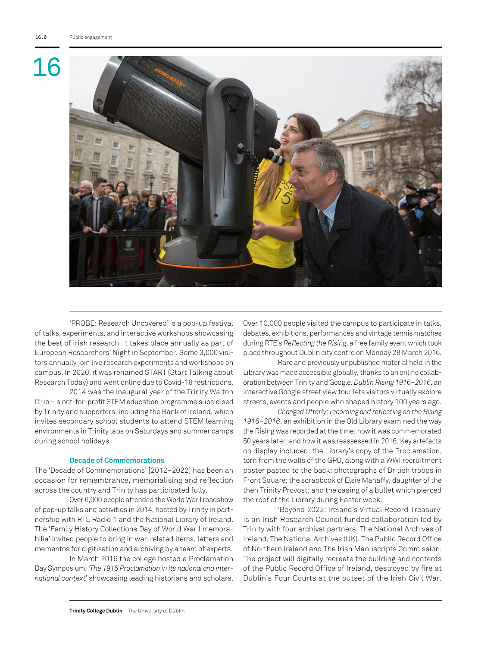### 16



'PROBE: Research Uncovered' is a pop-up festival of talks, experiments, and interactive workshops showcasing the best of Irish research. It takes place annually as part of European Researchers' Night in September. Some 3,000 visitors annually join live research experiments and workshops on campus. In 2020, it was renamed START (Start Talking about Research Today) and went online due to Covid-19 restrictions.

2014 was the inaugural year of the Trinity Walton Club – a not-for-profit STEM education programme subsidised by Trinity and supporters, including the Bank of Ireland, which invites secondary school students to attend STEM learning environments in Trinity labs on Saturdays and summer camps during school holidays.

### **Decade of Commemorations**

The 'Decade of Commemorations' [2012–2022] has been an occasion for remembrance, memorialising and reflection across the country and Trinity has participated fully.

Over 6,000 people attended the World War I roadshow of pop-up talks and activities in 2014, hosted by Trinity in partnership with RTE Radio 1 and the National Library of Ireland. The 'Family History Collections Day of World War I memorabilia' invited people to bring in war-related items, letters and mementos for digitisation and archiving by a team of experts.

In March 2016 the college hosted a Proclamation Day Symposium, '*The 1916 Proclamation in its national and international context*' showcasing leading historians and scholars. Over 10,000 people visited the campus to participate in talks, debates, exhibitions, performances and vintage tennis matches during RTE's *Reflecting the Rising*, a free family event which took place throughout Dublin city centre on Monday 28 March 2016.

Rare and previously unpublished material held in the Library was made accessible globally, thanks to an online collaboration between Trinity and Google. *Dublin Rising 1916–2016*, an interactive Google street view tour lets visitors virtually explore streets, events and people who shaped history 100 years ago.

*Changed Utterly: recording and reflecting on the Rising 1916–2016*, an exhibition in the Old Library examined the way the Rising was recorded at the time; how it was commemorated 50 years later; and how it was reassessed in 2016. Key artefacts on display included: the Library's copy of the Proclamation, torn from the walls of the GPO, along with a WWI recruitment poster pasted to the back; photographs of British troops in Front Square; the scrapbook of Elsie Mahaffy, daughter of the then Trinity Provost; and the casing of a bullet which pierced the roof of the Library during Easter week.

'Beyond 2022: Ireland's Virtual Record Treasury' is an Irish Research Council funded collaboration led by Trinity with four archival partners: The National Archives of Ireland, The National Archives (UK), The Public Record Office of Northern Ireland and The Irish Manuscripts Commission. The project will digitally recreate the building and contents of the Public Record Office of Ireland, destroyed by fire at Dublin's Four Courts at the outset of the Irish Civil War.